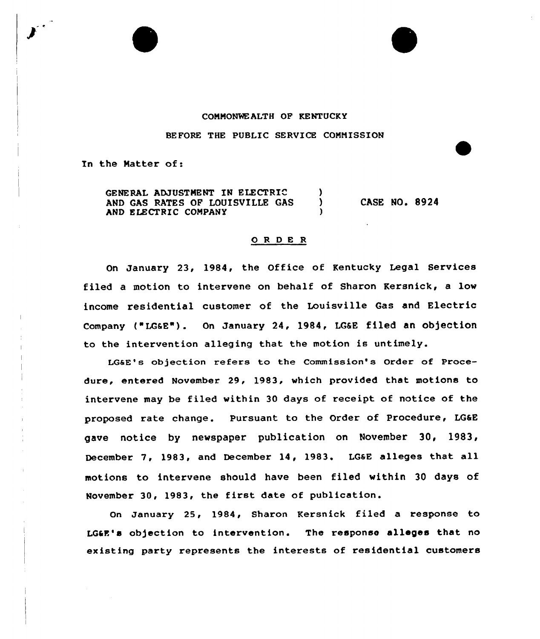## COMMONWEALTH OF KENTUCKY

BEFORE THE PUBLIC SERVICE COMMISSION

In the Matter of:

GENERAL ADJUSTMENT IN ELECTRIC (3)<br>AND GAS RATES OF LOUISVILLE GAS AND GAS RATES OF LOUISVILLE GAS AND ELECTRIC COMPANY

CASE NO. 8924

## 0 <sup>R</sup> <sup>D</sup> <sup>E</sup> <sup>R</sup>

On January 23, 1984, the Office of Kentucky Legal Services filed a motion to intervene on behalf of Sharon Kersnick, a low income residential customer of the Louisville Gas and Electric Company t"LG&E"). On January 24, 1984, LG&E filed an ob)ection to the intervention alleging that the motion is untimely.

LG6E's objection refers to the Commission's Order of Procedure, entered November 29, 1983, which provided that motions to intervene may be filed within 30 days of receipt of notice of the proposed rate change. Pursuant to the Order of Procedure, LG&E gave notice by newspaper publication on November 30, 1983, December 7, 1983, and December 14, 1983. LGsE alleges that all motions to intervene should have been filed within 30 days of November 30, 1983, the first date of publication.

On January 25, 1984, Sharon Kersnick filed a response to LG&E's objection to intervention. The response alleges that no existing party represents the interests of residential customers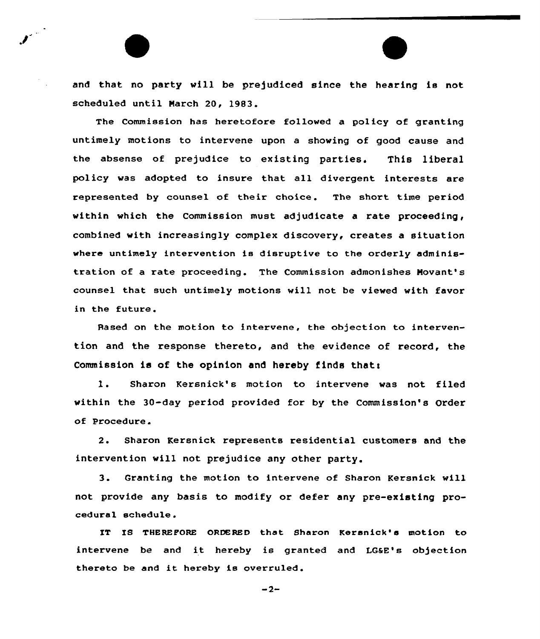and that no party vill be prejudiced since the hearing is not scheduled until March 20, 1983.

The Commission has heretofore followed a policy of granting untimely motions to intervene upon a shoving of good cause and the absense of prejudice to existing parties. This liberal policy was adopted to insure that all divergent interests are represented by counsel of their choice. The short time period within which the Commission must adjudicate a rate proceeding, combined with increasingly complex discovery, creates a situation where untimely intervention is disruptive to the orderly administration of a rate proceeding. The Commission admonishes Movant's counsel that such untimely motions vill not be viewed with favor in the future.

Based on the motion to intervene, the objection to intervention and the response thereto, and the evidence of record, the Commission is of the opinion and hereby finds that:

1. Sharon Kersnick's motion to intervene was not filed within the 30-day period provided for by the Commission's Order of Procedure.

2. Sharon Rersnick represents residential customers and the intervention vill not prejudice any other party.

3. Granting the motion to intervene of Sharon Kersnick will not provide any basis to modify or defer any pre-existing procedural schedule.

IT IS THEREFORE ORDERED that Sharon Kersnick's motion to intervene be and it hereby is granted and LG&E's objection thereto be and it hereby is overruled .

 $-2-$